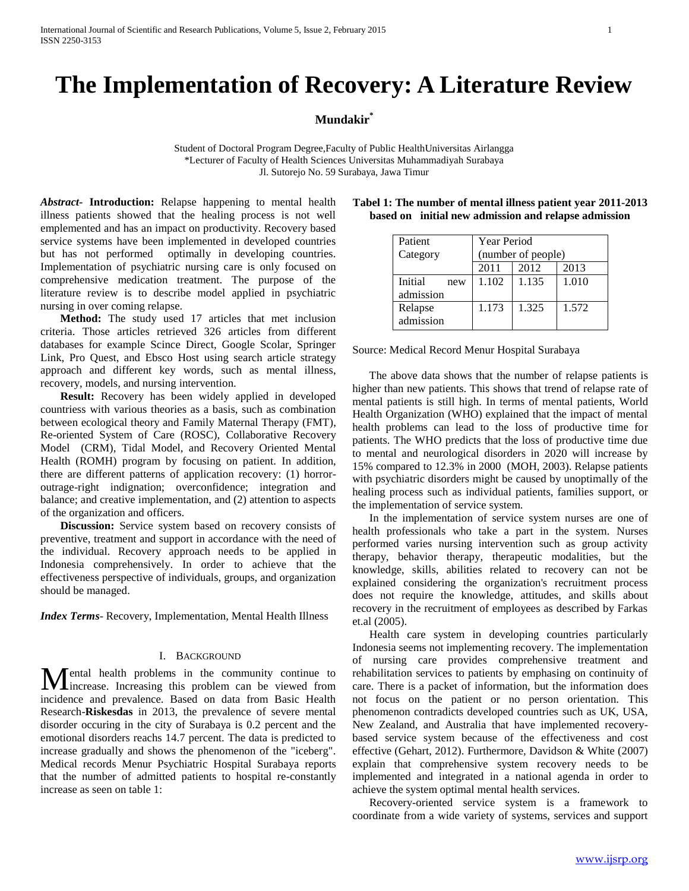# **The Implementation of Recovery: A Literature Review**

## **Mundakir\***

Student of Doctoral Program Degree,Faculty of Public HealthUniversitas Airlangga \*Lecturer of Faculty of Health Sciences Universitas Muhammadiyah Surabaya Jl. Sutorejo No. 59 Surabaya, Jawa Timur

*Abstract***- Introduction:** Relapse happening to mental health illness patients showed that the healing process is not well emplemented and has an impact on productivity. Recovery based service systems have been implemented in developed countries but has not performed optimally in developing countries. Implementation of psychiatric nursing care is only focused on comprehensive medication treatment. The purpose of the literature review is to describe model applied in psychiatric nursing in over coming relapse.

 **Method:** The study used 17 articles that met inclusion criteria. Those articles retrieved 326 articles from different databases for example Scince Direct, Google Scolar, Springer Link, Pro Quest, and Ebsco Host using search article strategy approach and different key words, such as mental illness, recovery, models, and nursing intervention.

 **Result:** Recovery has been widely applied in developed countriess with various theories as a basis, such as combination between ecological theory and Family Maternal Therapy (FMT), Re-oriented System of Care (ROSC), Collaborative Recovery Model (CRM), Tidal Model, and Recovery Oriented Mental Health (ROMH) program by focusing on patient. In addition, there are different patterns of application recovery: (1) horroroutrage-right indignation; overconfidence; integration and balance; and creative implementation, and (2) attention to aspects of the organization and officers.

 **Discussion:** Service system based on recovery consists of preventive, treatment and support in accordance with the need of the individual. Recovery approach needs to be applied in Indonesia comprehensively. In order to achieve that the effectiveness perspective of individuals, groups, and organization should be managed.

*Index Terms*- Recovery, Implementation, Mental Health Illness

### I. BACKGROUND

ental health problems in the community continue to **M**ental health problems in the community continue to increase. Increasing this problem can be viewed from incidence and prevalence. Based on data from Basic Health Research-**Riskesdas** in 2013, the prevalence of severe mental disorder occuring in the city of Surabaya is 0.2 percent and the emotional disorders reachs 14.7 percent. The data is predicted to increase gradually and shows the phenomenon of the "iceberg". Medical records Menur Psychiatric Hospital Surabaya reports that the number of admitted patients to hospital re-constantly increase as seen on table 1:

| Patient   |     | Year Period        |       |       |
|-----------|-----|--------------------|-------|-------|
| Category  |     | (number of people) |       |       |
|           |     | 2011               | 2012  | 2013  |
| Initial   | new | 1.102              | 1.135 | 1.010 |
| admission |     |                    |       |       |

1.173 1.325 1.572

**Tabel 1: The number of mental illness patient year 2011-2013 based on initial new admission and relapse admission**

Source: Medical Record Menur Hospital Surabaya

Relapse admission

 The above data shows that the number of relapse patients is higher than new patients. This shows that trend of relapse rate of mental patients is still high. In terms of mental patients, World Health Organization (WHO) explained that the impact of mental health problems can lead to the loss of productive time for patients. The WHO predicts that the loss of productive time due to mental and neurological disorders in 2020 will increase by 15% compared to 12.3% in 2000 (MOH, 2003). Relapse patients with psychiatric disorders might be caused by unoptimally of the healing process such as individual patients, families support, or the implementation of service system.

 In the implementation of service system nurses are one of health professionals who take a part in the system. Nurses performed varies nursing intervention such as group activity therapy, behavior therapy, therapeutic modalities, but the knowledge, skills, abilities related to recovery can not be explained considering the organization's recruitment process does not require the knowledge, attitudes, and skills about recovery in the recruitment of employees as described by Farkas et.al (2005).

 Health care system in developing countries particularly Indonesia seems not implementing recovery. The implementation of nursing care provides comprehensive treatment and rehabilitation services to patients by emphasing on continuity of care. There is a packet of information, but the information does not focus on the patient or no person orientation. This phenomenon contradicts developed countries such as UK, USA, New Zealand, and Australia that have implemented recoverybased service system because of the effectiveness and cost effective (Gehart, 2012). Furthermore, Davidson & White (2007) explain that comprehensive system recovery needs to be implemented and integrated in a national agenda in order to achieve the system optimal mental health services.

 Recovery-oriented service system is a framework to coordinate from a wide variety of systems, services and support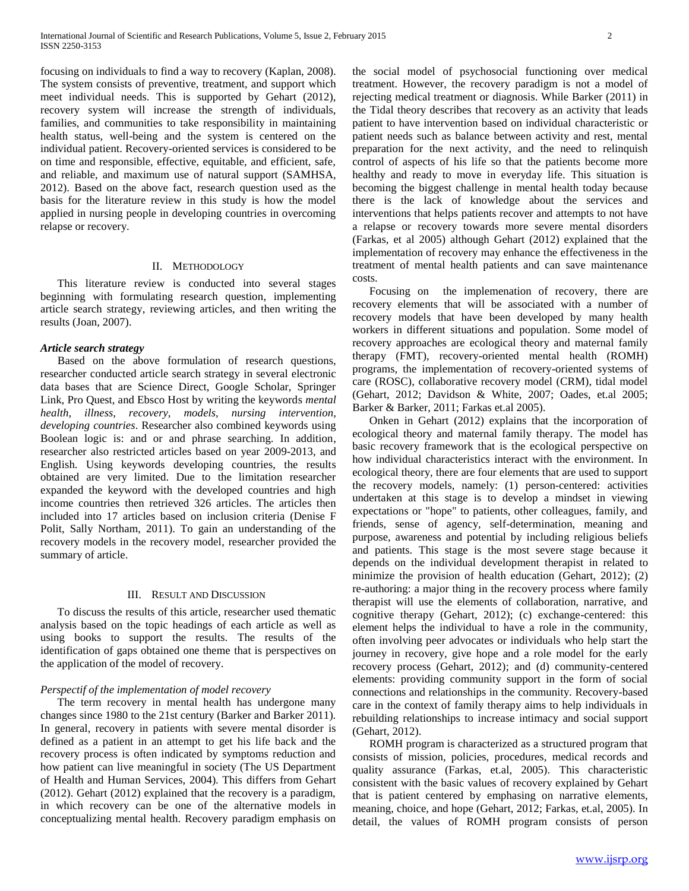focusing on individuals to find a way to recovery (Kaplan, 2008). The system consists of preventive, treatment, and support which meet individual needs. This is supported by Gehart (2012), recovery system will increase the strength of individuals, families, and communities to take responsibility in maintaining health status, well-being and the system is centered on the individual patient. Recovery-oriented services is considered to be on time and responsible, effective, equitable, and efficient, safe, and reliable, and maximum use of natural support (SAMHSA, 2012). Based on the above fact, research question used as the basis for the literature review in this study is how the model applied in nursing people in developing countries in overcoming relapse or recovery.

## II. METHODOLOGY

 This literature review is conducted into several stages beginning with formulating research question, implementing article search strategy, reviewing articles, and then writing the results (Joan, 2007).

#### *Article search strategy*

 Based on the above formulation of research questions, researcher conducted article search strategy in several electronic data bases that are Science Direct, Google Scholar, Springer Link, Pro Quest, and Ebsco Host by writing the keywords *mental health, illness, recovery, models, nursing intervention, developing countries*. Researcher also combined keywords using Boolean logic is: and or and phrase searching. In addition, researcher also restricted articles based on year 2009-2013, and English. Using keywords developing countries, the results obtained are very limited. Due to the limitation researcher expanded the keyword with the developed countries and high income countries then retrieved 326 articles. The articles then included into 17 articles based on inclusion criteria (Denise F Polit, Sally Northam, 2011). To gain an understanding of the recovery models in the recovery model, researcher provided the summary of article.

#### III. RESULT AND DISCUSSION

 To discuss the results of this article, researcher used thematic analysis based on the topic headings of each article as well as using books to support the results. The results of the identification of gaps obtained one theme that is perspectives on the application of the model of recovery.

#### *Perspectif of the implementation of model recovery*

 The term recovery in mental health has undergone many changes since 1980 to the 21st century (Barker and Barker 2011). In general, recovery in patients with severe mental disorder is defined as a patient in an attempt to get his life back and the recovery process is often indicated by symptoms reduction and how patient can live meaningful in society (The US Department of Health and Human Services, 2004). This differs from Gehart (2012). Gehart (2012) explained that the recovery is a paradigm, in which recovery can be one of the alternative models in conceptualizing mental health. Recovery paradigm emphasis on

the social model of psychosocial functioning over medical treatment. However, the recovery paradigm is not a model of rejecting medical treatment or diagnosis. While Barker (2011) in the Tidal theory describes that recovery as an activity that leads patient to have intervention based on individual characteristic or patient needs such as balance between activity and rest, mental preparation for the next activity, and the need to relinquish control of aspects of his life so that the patients become more healthy and ready to move in everyday life. This situation is becoming the biggest challenge in mental health today because there is the lack of knowledge about the services and interventions that helps patients recover and attempts to not have a relapse or recovery towards more severe mental disorders (Farkas, et al 2005) although Gehart (2012) explained that the implementation of recovery may enhance the effectiveness in the treatment of mental health patients and can save maintenance costs.

 Focusing on the implemenation of recovery, there are recovery elements that will be associated with a number of recovery models that have been developed by many health workers in different situations and population. Some model of recovery approaches are ecological theory and maternal family therapy (FMT), recovery-oriented mental health (ROMH) programs, the implementation of recovery-oriented systems of care (ROSC), collaborative recovery model (CRM), tidal model (Gehart, 2012; Davidson & White, 2007; Oades, et.al 2005; Barker & Barker, 2011; Farkas et.al 2005).

 Onken in Gehart (2012) explains that the incorporation of ecological theory and maternal family therapy. The model has basic recovery framework that is the ecological perspective on how individual characteristics interact with the environment. In ecological theory, there are four elements that are used to support the recovery models, namely: (1) person-centered: activities undertaken at this stage is to develop a mindset in viewing expectations or "hope" to patients, other colleagues, family, and friends, sense of agency, self-determination, meaning and purpose, awareness and potential by including religious beliefs and patients. This stage is the most severe stage because it depends on the individual development therapist in related to minimize the provision of health education (Gehart, 2012); (2) re-authoring: a major thing in the recovery process where family therapist will use the elements of collaboration, narrative, and cognitive therapy (Gehart, 2012); (c) exchange-centered: this element helps the individual to have a role in the community, often involving peer advocates or individuals who help start the journey in recovery, give hope and a role model for the early recovery process (Gehart, 2012); and (d) community-centered elements: providing community support in the form of social connections and relationships in the community. Recovery-based care in the context of family therapy aims to help individuals in rebuilding relationships to increase intimacy and social support (Gehart, 2012).

 ROMH program is characterized as a structured program that consists of mission, policies, procedures, medical records and quality assurance (Farkas, et.al, 2005). This characteristic consistent with the basic values of recovery explained by Gehart that is patient centered by emphasing on narrative elements, meaning, choice, and hope (Gehart, 2012; Farkas, et.al, 2005). In detail, the values of ROMH program consists of person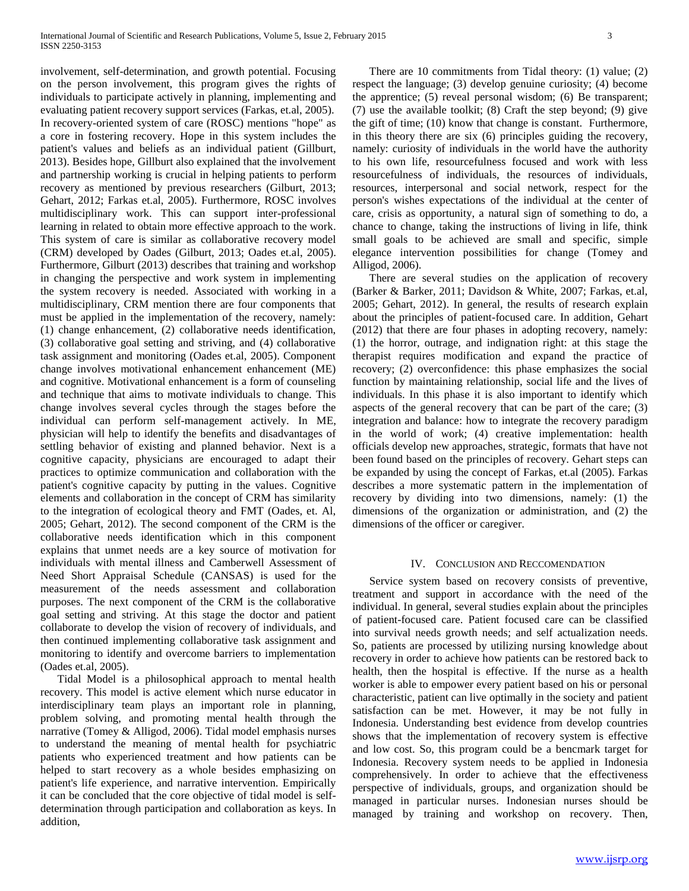involvement, self-determination, and growth potential. Focusing on the person involvement, this program gives the rights of individuals to participate actively in planning, implementing and evaluating patient recovery support services (Farkas, et.al, 2005). In recovery-oriented system of care (ROSC) mentions "hope" as a core in fostering recovery. Hope in this system includes the patient's values and beliefs as an individual patient (Gillburt, 2013). Besides hope, Gillburt also explained that the involvement and partnership working is crucial in helping patients to perform recovery as mentioned by previous researchers (Gilburt, 2013; Gehart, 2012; Farkas et.al, 2005). Furthermore, ROSC involves multidisciplinary work. This can support inter-professional learning in related to obtain more effective approach to the work. This system of care is similar as collaborative recovery model (CRM) developed by Oades (Gilburt, 2013; Oades et.al, 2005). Furthermore, Gilburt (2013) describes that training and workshop in changing the perspective and work system in implementing the system recovery is needed. Associated with working in a multidisciplinary, CRM mention there are four components that must be applied in the implementation of the recovery, namely: (1) change enhancement, (2) collaborative needs identification, (3) collaborative goal setting and striving, and (4) collaborative task assignment and monitoring (Oades et.al, 2005). Component change involves motivational enhancement enhancement (ME) and cognitive. Motivational enhancement is a form of counseling and technique that aims to motivate individuals to change. This change involves several cycles through the stages before the individual can perform self-management actively. In ME, physician will help to identify the benefits and disadvantages of settling behavior of existing and planned behavior. Next is a cognitive capacity, physicians are encouraged to adapt their practices to optimize communication and collaboration with the patient's cognitive capacity by putting in the values. Cognitive elements and collaboration in the concept of CRM has similarity to the integration of ecological theory and FMT (Oades, et. Al, 2005; Gehart, 2012). The second component of the CRM is the collaborative needs identification which in this component explains that unmet needs are a key source of motivation for individuals with mental illness and Camberwell Assessment of Need Short Appraisal Schedule (CANSAS) is used for the measurement of the needs assessment and collaboration purposes. The next component of the CRM is the collaborative goal setting and striving. At this stage the doctor and patient collaborate to develop the vision of recovery of individuals, and then continued implementing collaborative task assignment and monitoring to identify and overcome barriers to implementation (Oades et.al, 2005).

 Tidal Model is a philosophical approach to mental health recovery. This model is active element which nurse educator in interdisciplinary team plays an important role in planning, problem solving, and promoting mental health through the narrative (Tomey & Alligod, 2006). Tidal model emphasis nurses to understand the meaning of mental health for psychiatric patients who experienced treatment and how patients can be helped to start recovery as a whole besides emphasizing on patient's life experience, and narrative intervention. Empirically it can be concluded that the core objective of tidal model is selfdetermination through participation and collaboration as keys. In addition,

 There are 10 commitments from Tidal theory: (1) value; (2) respect the language; (3) develop genuine curiosity; (4) become the apprentice; (5) reveal personal wisdom; (6) Be transparent; (7) use the available toolkit; (8) Craft the step beyond; (9) give the gift of time; (10) know that change is constant. Furthermore, in this theory there are six (6) principles guiding the recovery, namely: curiosity of individuals in the world have the authority to his own life, resourcefulness focused and work with less resourcefulness of individuals, the resources of individuals, resources, interpersonal and social network, respect for the person's wishes expectations of the individual at the center of care, crisis as opportunity, a natural sign of something to do, a chance to change, taking the instructions of living in life, think small goals to be achieved are small and specific, simple elegance intervention possibilities for change (Tomey and Alligod, 2006).

 There are several studies on the application of recovery (Barker & Barker, 2011; Davidson & White, 2007; Farkas, et.al, 2005; Gehart, 2012). In general, the results of research explain about the principles of patient-focused care. In addition, Gehart (2012) that there are four phases in adopting recovery, namely: (1) the horror, outrage, and indignation right: at this stage the therapist requires modification and expand the practice of recovery; (2) overconfidence: this phase emphasizes the social function by maintaining relationship, social life and the lives of individuals. In this phase it is also important to identify which aspects of the general recovery that can be part of the care; (3) integration and balance: how to integrate the recovery paradigm in the world of work; (4) creative implementation: health officials develop new approaches, strategic, formats that have not been found based on the principles of recovery. Gehart steps can be expanded by using the concept of Farkas, et.al (2005). Farkas describes a more systematic pattern in the implementation of recovery by dividing into two dimensions, namely: (1) the dimensions of the organization or administration, and (2) the dimensions of the officer or caregiver.

#### IV. CONCLUSION AND RECCOMENDATION

 Service system based on recovery consists of preventive, treatment and support in accordance with the need of the individual. In general, several studies explain about the principles of patient-focused care. Patient focused care can be classified into survival needs growth needs; and self actualization needs. So, patients are processed by utilizing nursing knowledge about recovery in order to achieve how patients can be restored back to health, then the hospital is effective. If the nurse as a health worker is able to empower every patient based on his or personal characteristic, patient can live optimally in the society and patient satisfaction can be met. However, it may be not fully in Indonesia. Understanding best evidence from develop countries shows that the implementation of recovery system is effective and low cost. So, this program could be a bencmark target for Indonesia. Recovery system needs to be applied in Indonesia comprehensively. In order to achieve that the effectiveness perspective of individuals, groups, and organization should be managed in particular nurses. Indonesian nurses should be managed by training and workshop on recovery. Then,